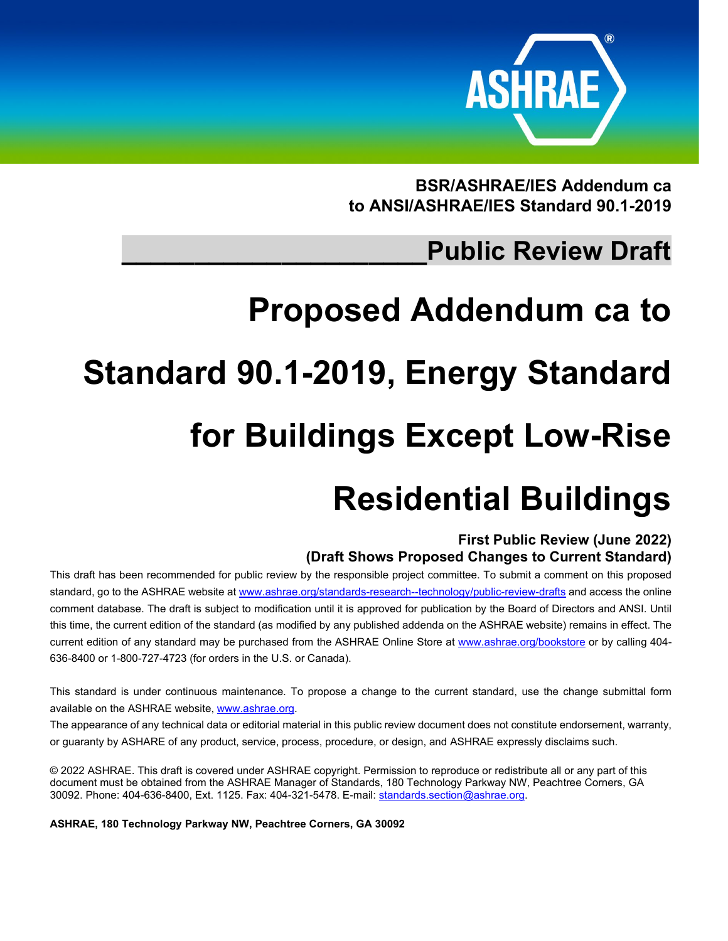

**BSR/ASHRAE/IES Addendum ca to ANSI/ASHRAE/IES Standard 90.1-2019**

# **\_\_\_\_\_\_\_\_\_\_\_\_\_\_\_\_\_\_\_\_\_Public Review Draft**

# **Proposed Addendum ca to Standard 90.1-2019, Energy Standard for Buildings Except Low-Rise Residential Buildings**

#### **First Public Review (June 2022) (Draft Shows Proposed Changes to Current Standard)**

This draft has been recommended for public review by the responsible project committee. To submit a comment on this proposed standard, go to the ASHRAE website at [www.ashrae.org/standards-research--technology/public-review-drafts](http://www.ashrae.org/standards-research--technology/public-review-drafts) and access the online comment database. The draft is subject to modification until it is approved for publication by the Board of Directors and ANSI. Until this time, the current edition of the standard (as modified by any published addenda on the ASHRAE website) remains in effect. The current edition of any standard may be purchased from the ASHRAE Online Store at [www.ashrae.org/bookstore](http://www.ashrae.org/bookstore) or by calling 404-636-8400 or 1-800-727-4723 (for orders in the U.S. or Canada).

This standard is under continuous maintenance. To propose a change to the current standard, use the change submittal form available on the ASHRAE website[, www.ashrae.org.](http://www.ashrae.org/)

The appearance of any technical data or editorial material in this public review document does not constitute endorsement, warranty, or guaranty by ASHARE of any product, service, process, procedure, or design, and ASHRAE expressly disclaims such.

© 2022 ASHRAE. This draft is covered under ASHRAE copyright. Permission to reproduce or redistribute all or any part of this document must be obtained from the ASHRAE Manager of Standards, 180 Technology Parkway NW, Peachtree Corners, GA 30092. Phone: 404-636-8400, Ext. 1125. Fax: 404-321-5478. E-mail[: standards.section@ashrae.org.](mailto:standards.section@ashrae.org)

**ASHRAE, 180 Technology Parkway NW, Peachtree Corners, GA 30092**